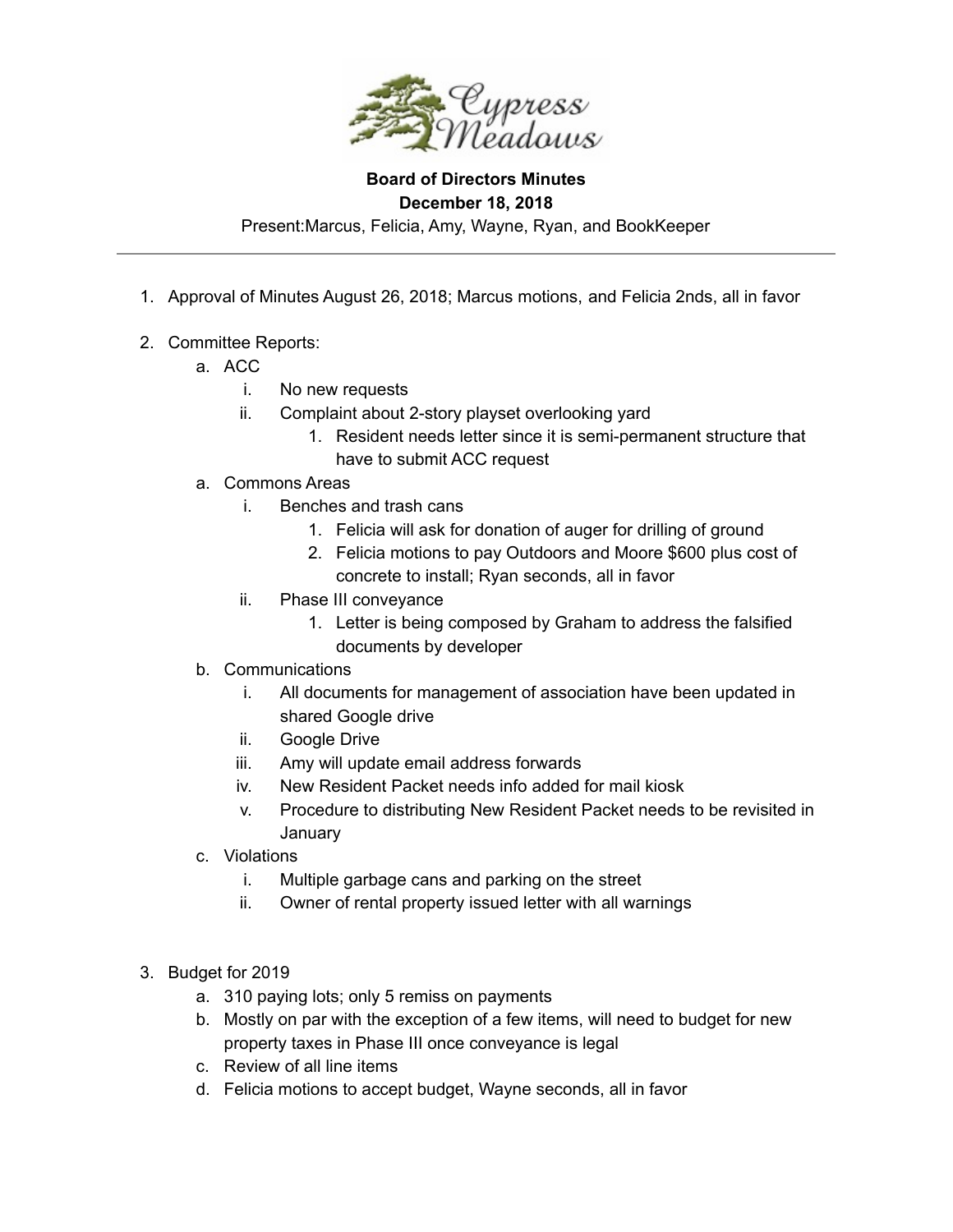

**Board of Directors Minutes December 18, 2018** Present:Marcus, Felicia, Amy, Wayne, Ryan, and BookKeeper

- 1. Approval of Minutes August 26, 2018; Marcus motions, and Felicia 2nds, all in favor
- 2. Committee Reports:
	- a. ACC
		- i. No new requests
		- ii. Complaint about 2-story playset overlooking yard
			- 1. Resident needs letter since it is semi-permanent structure that have to submit ACC request
	- a. Commons Areas
		- i. Benches and trash cans
			- 1. Felicia will ask for donation of auger for drilling of ground
			- 2. Felicia motions to pay Outdoors and Moore \$600 plus cost of concrete to install; Ryan seconds, all in favor
		- ii. Phase III conveyance
			- 1. Letter is being composed by Graham to address the falsified documents by developer
	- b. Communications
		- i. All documents for management of association have been updated in shared Google drive
		- ii. Google Drive
		- iii. Amy will update email address forwards
		- iv. New Resident Packet needs info added for mail kiosk
		- v. Procedure to distributing New Resident Packet needs to be revisited in **January**
	- c. Violations
		- i. Multiple garbage cans and parking on the street
		- ii. Owner of rental property issued letter with all warnings
- 3. Budget for 2019
	- a. 310 paying lots; only 5 remiss on payments
	- b. Mostly on par with the exception of a few items, will need to budget for new property taxes in Phase III once conveyance is legal
	- c. Review of all line items
	- d. Felicia motions to accept budget, Wayne seconds, all in favor